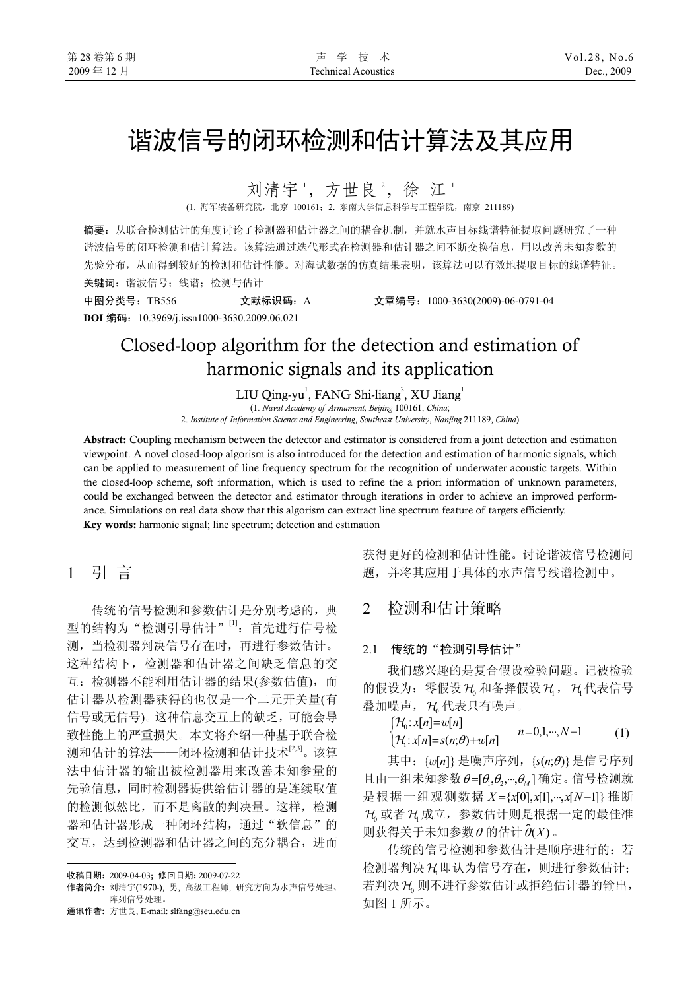# 谐波信号的闭环检测和估计算法及其应用

刘清宇',方世良2,徐江1

(1. 海军装备研究院,北京 100161;2. 东南大学信息科学与工程学院,南京 211189)

摘要:从联合检测估计的角度讨论了检测器和估计器之间的耦合机制,并就水声目标线谱特征提取问题研究了一种 谐波信号的闭环检测和估计算法。该算法通过迭代形式在检测器和估计器之间不断交换信息,用以改善未知参数的 先验分布,从而得到较好的检测和估计性能。对海试数据的仿真结果表明,该算法可以有效地提取目标的线谱特征。 关键词: 谐波信号;线谱; 检测与估计

中图分类号:TB556 文献标识码:A 文章编号:1000-3630(2009)-06-0791-04 **DOI** 编码:10.3969/j.issn1000-3630.2009.06.021

## Closed-loop algorithm for the detection and estimation of harmonic signals and its application

LIU Qing-yu<sup>1</sup>, FANG Shi-liang<sup>2</sup>, XU Jiang<sup>1</sup>

 (1. *Naval Academy of Armament, Beijing* 100161, *China*; 2. *Institute of Information Science and Engineering*, *Southeast University*, *Nanjing* 211189, *China*)

Abstract: Coupling mechanism between the detector and estimator is considered from a joint detection and estimation viewpoint. A novel closed-loop algorism is also introduced for the detection and estimation of harmonic signals, which can be applied to measurement of line frequency spectrum for the recognition of underwater acoustic targets. Within the closed-loop scheme, soft information, which is used to refine the a priori information of unknown parameters, could be exchanged between the detector and estimator through iterations in order to achieve an improved performance. Simulations on real data show that this algorism can extract line spectrum feature of targets efficiently. Key words: harmonic signal; line spectrum; detection and estimation

1 引 言

传统的信号检测和参数估计是分别考虑的,典 型的结构为"检测引导估计"<sup>[1]</sup>: 首先进行信号检 测,当检测器判决信号存在时,再进行参数估计。 这种结构下,检测器和估计器之间缺乏信息的交 互:检测器不能利用估计器的结果(参数估值),而 估计器从检测器获得的也仅是一个二元开关量(有 信号或无信号)。这种信息交互上的缺乏,可能会导 致性能上的严重损失。本文将介绍一种基于联合检 测和估计的算法——闭环检测和估计技术[2,3]。该算 法中估计器的输出被检测器用来改善未知参量的 先验信息,同时检测器提供给估计器的是连续取值 的检测似然比,而不是离散的判决量。这样,检测 器和估计器形成一种闭环结构,通过"软信息"的 交互,达到检测器和估计器之间的充分耦合,进而

通讯作者: 方世良, E-mail: slfang@seu.edu.cn

获得更好的检测和估计性能。讨论谐波信号检测问 题,并将其应用于具体的水声信号线谱检测中。

## 2 检测和估计策略

#### 2.1 传统的"检测引导估计"

我们感兴趣的是复合假设检验问题。记被检验 的假设为: 零假设 H2 和备择假设 H2, H2代表信号 叠加噪声, H 代表只有噪声。

$$
\begin{cases} \mathcal{H}_0: x[n] = w[n] \\ \mathcal{H}_1: x[n] = s(n; \theta) + w[n] \end{cases} \qquad n = 0, 1, \cdots, N-1 \qquad (1)
$$

其中: {w[n] } 是噪声序列, {s(n;θ) } 是信号序列 且由一组未知参数  $\theta = [\theta_1, \theta_2, \cdots, \theta_M]$ 确定。信号检测就 是根据一组观测数据 X = {x[0], x[1], ···, x[N-1]} 推断 H 或者 H 成立, 参数估计则是根据一定的最佳准 则获得关于未知参数θ的估计 $\hat{\theta}(X)$ 。

传统的信号检测和参数估计是顺序进行的: 若 检测器判决 H1即认为信号存在,则进行参数估计; 若判决 H3 则不进行参数估计或拒绝估计器的输出, 如图 1 所示。

 $\overline{a}$ 收稿日期: 2009-04-03; 修回日期: 2009-07-22

作者简介: 刘清宇(1970-), 男, 高级工程师, 研究方向为水声信号处理、 阵列信号处理。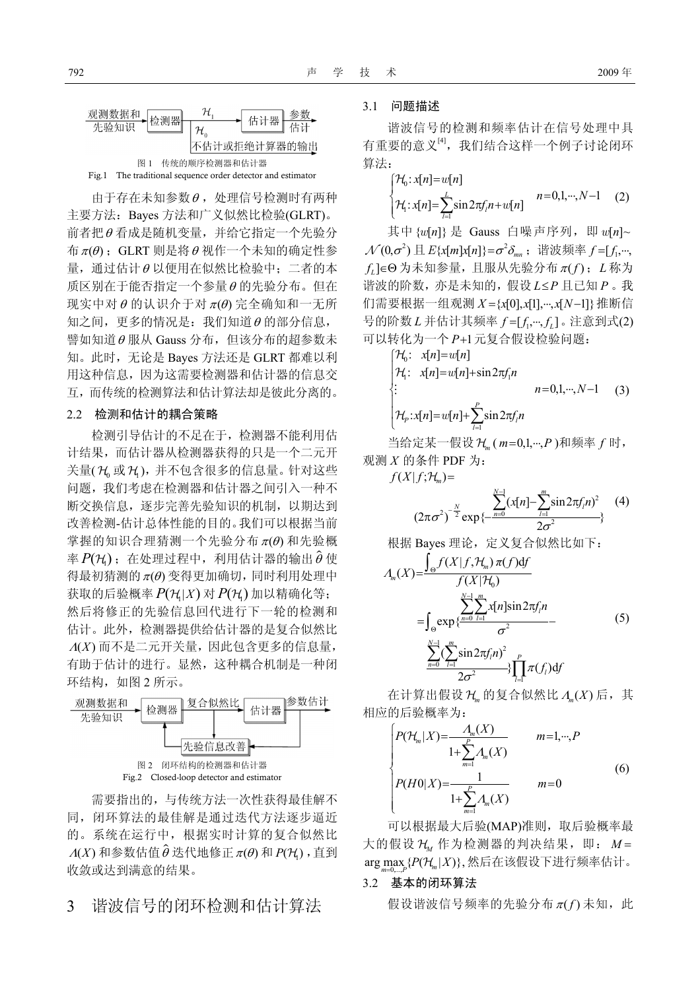

Fig.1 The traditional sequence order detector and estimator

由于存在未知参数θ ,处理信号检测时有两种 主要方法: Bayes 方法和广义似然比检验(GLRT)。 前者把θ 看成是随机变量,并给它指定一个先验分 布  $π(θ)$ ; GLRT 则是将  $θ$  视作一个未知的确定性参 量,通过估计θ 以便用在似然比检验中;二者的本 质区别在于能否指定一个参量θ 的先验分布。但在 现实中对θ的认识介于对π(θ)完全确知和一无所 知之间,更多的情况是:我们知道θ 的部分信息, 譬如知道<sup>θ</sup> 服从 Gauss 分布,但该分布的超参数未 知。此时,无论是 Bayes 方法还是 GLRT 都难以利 用这种信息,因为这需要检测器和估计器的信息交 互,而传统的检测算法和估计算法却是彼此分离的。

#### 2.2 检测和估计的耦合策略

检测引导估计的不足在于,检测器不能利用估 计结果,而估计器从检测器获得的只是一个二元开 关量( H 或 H ), 并不包含很多的信息量。针对这些 问题,我们考虑在检测器和估计器之间引入一种不 断交换信息,逐步完善先验知识的机制,以期达到 改善检测-估计总体性能的目的。我们可以根据当前 掌握的知识合理猜测一个先验分布 $\pi(\theta)$  和先验概 率  $P(\mathcal{H}_i)$ ; 在处理过程中, 利用估计器的输出 $\hat{\theta}$ 使 得最初猜测的 $π(θ)$  变得更加确切, 同时利用处理中 获取的后验概率  $P(\mathcal{H}|X)$  对  $P(\mathcal{H})$  加以精确化等; 然后将修正的先验信息回代进行下一轮的检测和 估计。此外,检测器提供给估计器的是复合似然比  $\Lambda(X)$  而不是二元开关量, 因此包含更多的信息量, 有助于估计的进行。显然,这种耦合机制是一种闭 环结构, 如图 2 所示。



需要指出的,与传统方法一次性获得最佳解不 同,闭环算法的最佳解是通过迭代方法逐步逼近 的。系统在运行中,根据实时计算的复合似然比  $\varLambda\!\left( X \right)$  和参数估值 $\hat{\theta}$  迭代地修正  $\pi\!\left( \theta \right)$  和  $P\!\left( \mathcal{H}_{\mathsf{I}} \right)$  , 直到 收敛或达到满意的结果。

### 3 谐波信号的闭环检测和估计算法

#### 3.1 问题描述

谐波信号的检测和频率估计在信号处理中具 有重要的意义<sup>[4]</sup>,我们结合这样一个例子讨论闭环 算法:

$$
\begin{cases} \mathcal{H}_0: x[n] = w[n] \\ \mathcal{H}_1: x[n] = \sum_{l=1}^L \sin 2\pi f_l n + w[n] \end{cases} \quad n = 0, 1, \cdots, N-1 \quad (2)
$$

其中 {w[n] } 是 Gauss 白噪声序列, 即 w[n]~  $\mathcal{N}(0,\sigma^2) \boxplus E\{x[m]x[n]\} = \sigma^2 \delta_{mn}$ ; 谐波频率  $f = [f_1, \dots, f_n]$  $f_i$ ] ∈Θ 为未知参量, 且服从先验分布 π(f); L 称为 谐波的阶数, 亦是未知的, 假设 L≤P 且已知 P。我 们需要根据一组观测 *X* ={x[0],x[1],…,x[N-1]} 推断信 号的阶数 L 并估计其频率 f = [ f, ···, f<sub>i</sub> ]。注意到式(2) 可以转化为一个 *P*+1元复合假设检验问题:

$$
\begin{cases}\n\mathcal{H}_0: \quad x[n] = w[n] \\
\mathcal{H}_1: \quad x[n] = w[n] + \sin 2\pi f_1 n \\
\vdots \qquad \qquad n = 0, 1, \cdots, N-1 \qquad (3) \\
\mathcal{H}_p: x[n] = w[n] + \sum_{l=1}^P \sin 2\pi f_l n\n\end{cases}
$$

当给定某一假设 H<sub>m</sub> (m=0,1,…,P)和频率 f 时, 观测 *X* 的条件 PDF 为:

 $f(X|f;H_m) =$ 

$$
(2\pi\sigma^2)^{-\frac{N}{2}}\exp{\frac{\sum_{n=0}^{N-1}(x[n]-\sum_{l=1}^{m}\sin 2\pi f_l n)^2}{2\sigma^2}} \quad (4)
$$

根据 Bayes 理论, 定义复合似然比如下:  $\mathcal{H}^{\,}_{0}$ 1  $(X)=\frac{\int_{\Theta} f(X|f, \mathcal{H}_m) \pi(f) df}{f(X|\mathcal{H}_0)}$ *m N m*  $X$ <sup> $\frac{\int_{\Theta} f(X|f,\mathcal{H})}{f(X|f)}$ </sup> Λ − =

$$
= \int_{\Theta} \exp \left\{ \frac{\sum_{n=0}^{n} \sum_{l=1}^{n} x[n] \sin 2\pi f_l n}{\sigma^2} - \frac{\sum_{n=0}^{N-1} \left( \sum_{l=1}^{m} \sin 2\pi f_l n \right)^2}{2\sigma^2} \right\} \prod_{l=1}^{p} \pi(f_l) df
$$
(5)

=

在计算出假设 H 的复合似然比 Λ (X) 后, 其 相应的后验概率为:

 $2\sigma^2$ 

$$
\begin{cases}\nP(\mathcal{H}_{m}|X) = \frac{A_{m}(X)}{1 + \sum_{m=1}^{P} A_{m}(X)} & m=1,\cdots,P \\
P(H0|X) = \frac{1}{1 + \sum_{m=1}^{P} A_{m}(X)} & m=0\n\end{cases}
$$
\n(6)

可以根据最大后验(MAP)准则, 取后验概率最 大的假设 H*<sup>M</sup>* 作为检测器的判决结果,即: *M* = arg max  $\{P(\mathcal{H}_m | X)\},\,$ 然后在该假设下进行频率估计。

#### 3.2 基本的闭环算法

假设谐波信号频率的先验分布 π(f) 未知, 此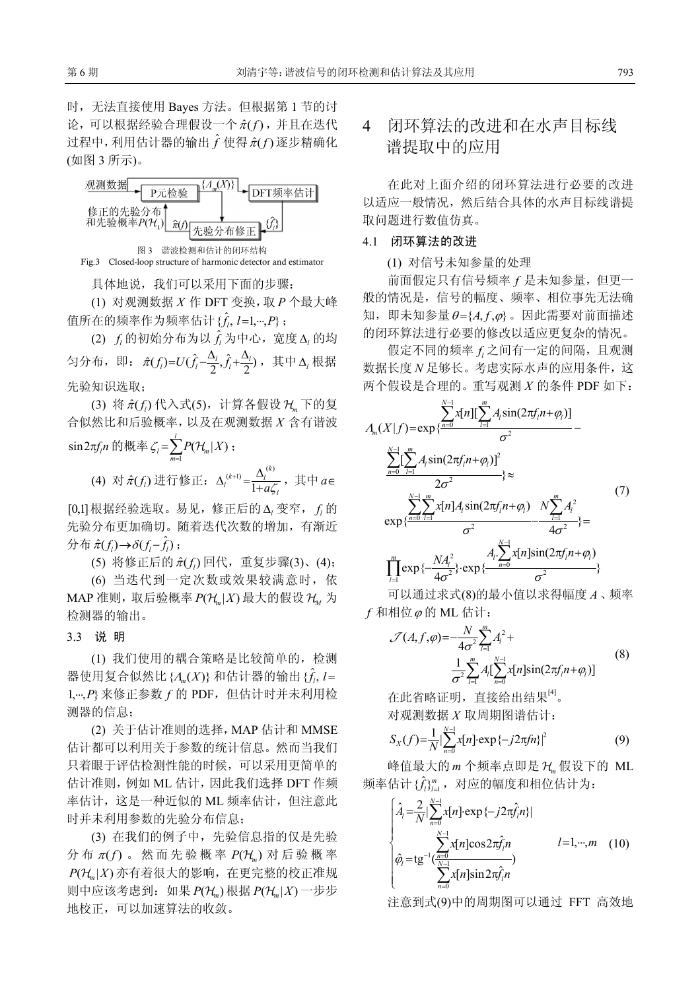时,无法直接使用 Bayes 方法。但根据第 1 节的讨 论,可以根据经验合理假设一个  $\hat{\pi}(f)$ , 并且在迭代 过程中,利用估计器的输出 $\hat{f}$ 使得 $\hat{\pi}(f)$ 逐步精确化 (如图 3 所示)。



具体地说,我们可以采用下面的步骤:

(1) 对观测数据 *X* 作 DFT 变换,取 *P* 个最大峰 值所在的频率作为频率估计 { $\hat{f}_l$ ,  $l=1,\cdots,P\}$ ;

 $(2)$   $f$ <sub>*l*</sub> 的初始分布为以 $\hat{f}$ , 为中心, 宽度  $\Delta$ <sub>l</sub> 的均 匀分布,即: π̂(f<sub>i</sub>)=U(f̂<sub>i</sub>- $\frac{\Delta_l}{2}$ ,f̂<sub>i</sub>+ $\frac{\Delta_l}{2}$ ),其中Δ<sub>ι</sub>根据 先验知识选取;

(3) 将  $\hat{\pi}(f_i)$  代入式(5), 计算各假设 H<sub>a</sub> 下的复 合似然比和后验概率,以及在观测数据 *X* 含有谐波  $\sin 2\pi f_i n$  的概率 $\zeta_i = \sum_{m=1}^{\infty}$  $\zeta_i = \sum_{m=1}^l P(\mathcal{H}_m | X)$ ;

(4) 对  $\hat{\pi}(f_{l})$  进行修正:  $\Delta_{l}^{(k+1)} = \frac{\Delta_{l}^{(k)}}{1 + a \zeta}$  $\mu^{(k+1)} = \frac{\Delta_l^{(k)}}{1 + a\zeta_l}$  $\Delta_l^{(k+1)} = \frac{\Delta_l^{(k)}}{1 + a\zeta_l}$ , 其中  $a \in$ 

[0,1]根据经验选取。易见,修正后的 ∆*<sup>l</sup>* 变窄, *<sup>l</sup> f* 的 先验分布更加确切。随着迭代次数的增加,有渐近  $\hat{\mathcal{D}} \hat{\pi}(\hat{\pi}(f_i) \rightarrow \delta(f_i - \hat{f}_i);$ 

(5) 将修正后的  $\hat{\pi}(f_i)$  回代, 重复步骤(3)、(4);

(6) 当迭代到一定次数或效果较满意时,依 MAP 准则, 取后验概率  $P(H_n | X)$  最大的假设 H<sub>1</sub> 为 检测器的输出。

3.3 说 明

(1) 我们使用的耦合策略是比较简单的,检测 器使用复合似然比{ $\Lambda$ <sub>*(X)*</sub>} 和估计器的输出{ $\hat{t}$ ,  $l=$ 1, ..., P 来修正参数 f 的 PDF, 但估计时并未利用检 测器的信息;

(2) 关于估计准则的选择,MAP 估计和 MMSE 估计都可以利用关于参数的统计信息。然而当我们 只着眼于评估检测性能的时候,可以采用更简单的 估计准则,例如 ML 估计,因此我们选择 DFT 作频 率估计,这是一种近似的 ML 频率估计,但注意此 时并未利用参数的先验分布信息;

(3) 在我们的例子中,先验信息指的仅是先验 分布 π(f)。然而先验概率 P(H<sub>n</sub>) 对后验概率  $P(H_m|X)$  亦有着很大的影响, 在更完整的校正准规 则中应该考虑到: 如果  $P(H_n)$  根据  $P(H_n|X)$ 一步步 地校正,可以加速算法的收敛。

## 4 闭环算法的改进和在水声目标线 谱提取中的应用

在此对上面介绍的闭环算法进行必要的改进 以适应一般情况,然后结合具体的水声目标线谱提 取问题进行数值仿真。

#### 4.1 闭环算法的改进

(1) 对信号未知参量的处理

前面假定只有信号频率 *f* 是未知参量,但更一 般的情况是,信号的幅度、频率、相位事先无法确 知, 即未知参量 $θ = {A, f, φ}$ 。因此需要对前面描述 的闭环算法进行必要的修改以适应更复杂的情况。

假定不同的频率 *<sup>l</sup> f* 之间有一定的间隔,且观测 数据长度 *N* 足够长。考虑实际水声的应用条件,这 两个假设是合理的。重写观测 *X* 的条件 PDF 如下:

$$
A_{m}(X|f) = \exp{\frac{\sum_{n=0}^{N-1} x[n][\sum_{l=1}^{m} A_{l}\sin(2\pi f_{l}n + \varphi_{l})]}{\sigma^{2}} - \frac{\sum_{n=0}^{N-1} [\sum_{l=1}^{m} A_{l}\sin(2\pi f_{l}n + \varphi_{l})]^{2}}{2\sigma^{2}}\} \approx
$$
\n
$$
\exp{\frac{\sum_{n=0}^{N-1} \sum_{l=1}^{m} x[n]A_{l}\sin(2\pi f_{l}n + \varphi_{l})}{\sigma^{2}} - \frac{N\sum_{l=1}^{m} A_{l}^{2}}{4\sigma^{2}}}} = \frac{(7)}{\prod_{l=1}^{m} \exp{\left\{-\frac{NA_{l}^{2}}{4\sigma^{2}}\right\}} \exp{\frac{A_{l}\sum_{n=0}^{N-1} x[n]\sin(2\pi f_{l}n + \varphi_{l})}{\sigma^{2}}}
$$

可以通过求式(8)的最小值以求得幅度 *A* 、频率  $f$  和相位 $\varphi$  的 ML 估计:

$$
\mathcal{J}(A, f, \varphi) = -\frac{N}{4\sigma^2} \sum_{l=1}^{m} A_l^2 + \frac{1}{\sigma^2 \sum_{l=1}^{m} A_l [\sum_{n=0}^{N-1} x[n] \sin(2\pi f_l n + \varphi_l)]}
$$
(8)

在此省略证明, 直接给出结果<sup>[4]</sup>。 对观测数据 *X* 取周期图谱估计:

$$
S_X(f) = \frac{1}{N} \left| \sum_{n=0}^{N-1} x[n] \cdot \exp\{-j2\pi f n\} \right|^2 \tag{9}
$$

峰值最大的 *m* 个频率点即是 H*<sup>m</sup>* 假设下的 ML  $\frac{1}{2} \frac{\partial \hat{f}}{\partial x^2} \mathcal{E} \left( \hat{f}^{\, \prime \, \prime}_{\, \ell} \right) = \frac{1}{2} \frac{\partial \hat{f}^{\, \prime \, \prime}}{\partial x^2} \mathcal{E} \left( \hat{f}^{\, \prime \, \prime \, \prime}_{\, \ell} \right) = 0$ 

$$
\begin{cases}\n\hat{A}_{l} = \frac{2}{N} \sum_{n=0}^{N-1} x[n] \exp \{-j2\pi \hat{f}_{l}n\} \\
\hat{\varphi}_{l} = \text{tg}^{-1} \frac{\sum_{n=0}^{N-1} x[n] \cos 2\pi \hat{f}_{l}n}{\sum_{n=0}^{N-1} x[n] \sin 2\pi \hat{f}_{l}n}\n\end{cases}
$$
\n(10)

注意到式(9)中的周期图可以通过 FFT 高效地